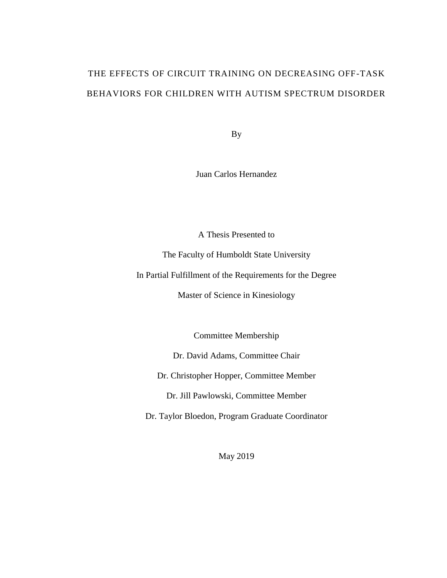# THE EFFECTS OF CIRCUIT TRAINING ON DECREASING OFF-TASK BEHAVIORS FOR CHILDREN WITH AUTISM SPECTRUM DISORDER

By

Juan Carlos Hernandez

A Thesis Presented to

The Faculty of Humboldt State University

In Partial Fulfillment of the Requirements for the Degree

Master of Science in Kinesiology

Committee Membership

Dr. David Adams, Committee Chair

Dr. Christopher Hopper, Committee Member

Dr. Jill Pawlowski, Committee Member

Dr. Taylor Bloedon, Program Graduate Coordinator

May 2019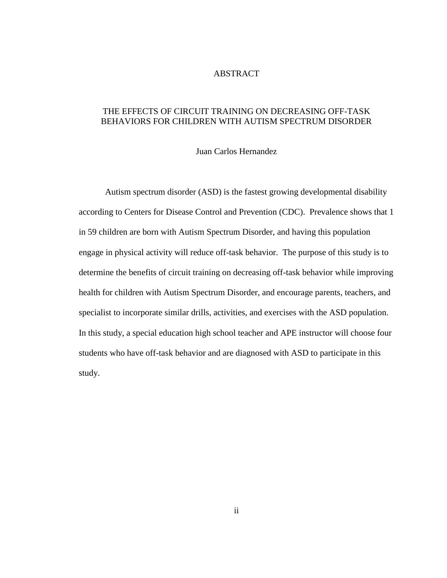#### ABSTRACT

#### THE EFFECTS OF CIRCUIT TRAINING ON DECREASING OFF-TASK BEHAVIORS FOR CHILDREN WITH AUTISM SPECTRUM DISORDER

#### Juan Carlos Hernandez

Autism spectrum disorder (ASD) is the fastest growing developmental disability according to Centers for Disease Control and Prevention (CDC). Prevalence shows that 1 in 59 children are born with Autism Spectrum Disorder, and having this population engage in physical activity will reduce off-task behavior. The purpose of this study is to determine the benefits of circuit training on decreasing off-task behavior while improving health for children with Autism Spectrum Disorder, and encourage parents, teachers, and specialist to incorporate similar drills, activities, and exercises with the ASD population. In this study, a special education high school teacher and APE instructor will choose four students who have off-task behavior and are diagnosed with ASD to participate in this study.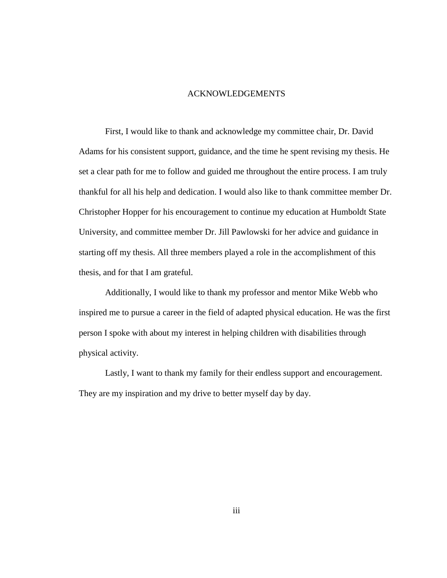#### ACKNOWLEDGEMENTS

First, I would like to thank and acknowledge my committee chair, Dr. David Adams for his consistent support, guidance, and the time he spent revising my thesis. He set a clear path for me to follow and guided me throughout the entire process. I am truly thankful for all his help and dedication. I would also like to thank committee member Dr. Christopher Hopper for his encouragement to continue my education at Humboldt State University, and committee member Dr. Jill Pawlowski for her advice and guidance in starting off my thesis. All three members played a role in the accomplishment of this thesis, and for that I am grateful.

Additionally, I would like to thank my professor and mentor Mike Webb who inspired me to pursue a career in the field of adapted physical education. He was the first person I spoke with about my interest in helping children with disabilities through physical activity.

Lastly, I want to thank my family for their endless support and encouragement. They are my inspiration and my drive to better myself day by day.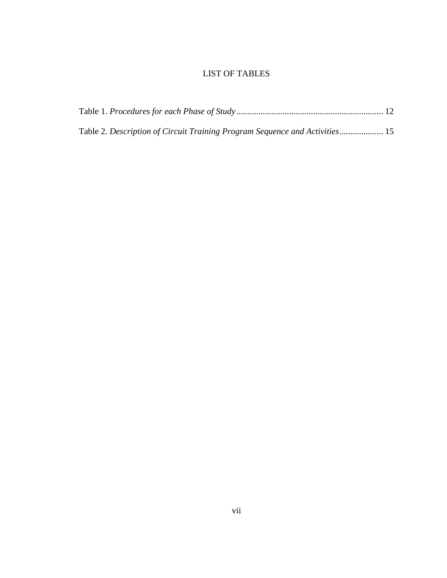### LIST OF TABLES

| Table 2. Description of Circuit Training Program Sequence and Activities 15 |  |
|-----------------------------------------------------------------------------|--|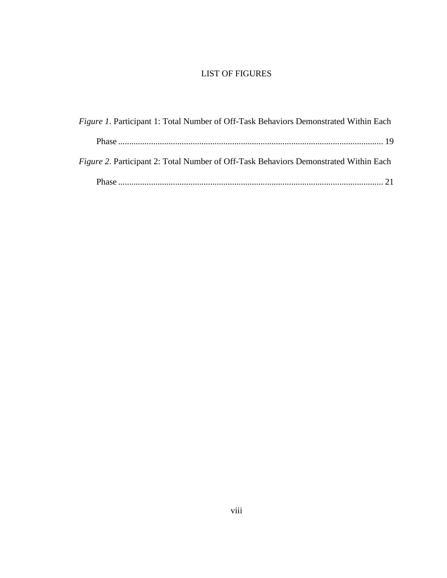### LIST OF FIGURES

| <i>Figure 1.</i> Participant 1: Total Number of Off-Task Behaviors Demonstrated Within Each |  |
|---------------------------------------------------------------------------------------------|--|
|                                                                                             |  |
| <i>Figure 2.</i> Participant 2: Total Number of Off-Task Behaviors Demonstrated Within Each |  |
|                                                                                             |  |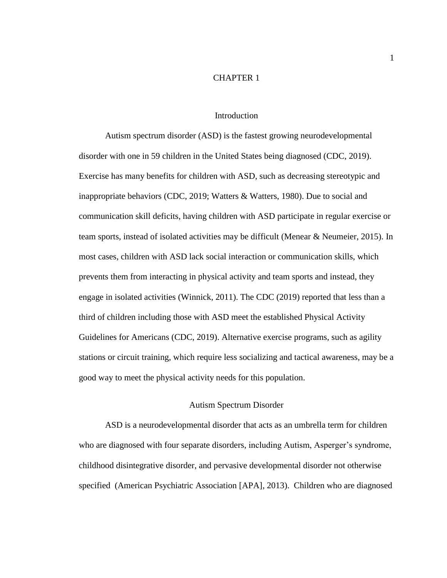#### CHAPTER 1

#### Introduction

Autism spectrum disorder (ASD) is the fastest growing neurodevelopmental disorder with one in 59 children in the United States being diagnosed (CDC, 2019). Exercise has many benefits for children with ASD, such as decreasing stereotypic and inappropriate behaviors (CDC, 2019; Watters & Watters, 1980). Due to social and communication skill deficits, having children with ASD participate in regular exercise or team sports, instead of isolated activities may be difficult (Menear & Neumeier, 2015). In most cases, children with ASD lack social interaction or communication skills, which prevents them from interacting in physical activity and team sports and instead, they engage in isolated activities (Winnick, 2011). The CDC (2019) reported that less than a third of children including those with ASD meet the established Physical Activity Guidelines for Americans (CDC, 2019). Alternative exercise programs, such as agility stations or circuit training, which require less socializing and tactical awareness, may be a good way to meet the physical activity needs for this population.

#### Autism Spectrum Disorder

ASD is a neurodevelopmental disorder that acts as an umbrella term for children who are diagnosed with four separate disorders, including Autism, Asperger's syndrome, childhood disintegrative disorder, and pervasive developmental disorder not otherwise specified (American Psychiatric Association [APA], 2013). Children who are diagnosed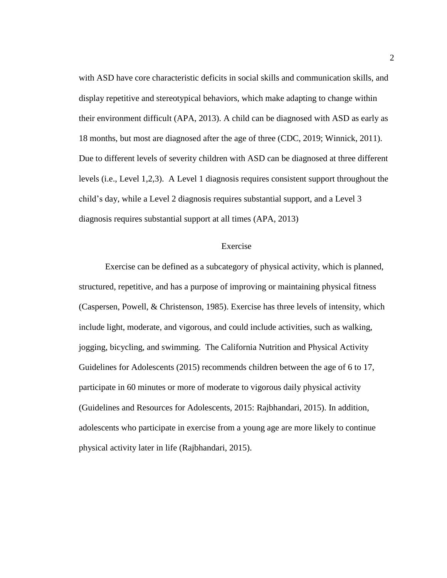with ASD have core characteristic deficits in social skills and communication skills, and display repetitive and stereotypical behaviors, which make adapting to change within their environment difficult (APA, 2013). A child can be diagnosed with ASD as early as 18 months, but most are diagnosed after the age of three (CDC, 2019; Winnick, 2011). Due to different levels of severity children with ASD can be diagnosed at three different levels (i.e., Level 1,2,3). A Level 1 diagnosis requires consistent support throughout the child's day, while a Level 2 diagnosis requires substantial support, and a Level 3 diagnosis requires substantial support at all times (APA, 2013)

#### Exercise

Exercise can be defined as a subcategory of physical activity, which is planned, structured, repetitive, and has a purpose of improving or maintaining physical fitness (Caspersen, Powell, & Christenson, 1985). Exercise has three levels of intensity, which include light, moderate, and vigorous, and could include activities, such as walking, jogging, bicycling, and swimming. The California Nutrition and Physical Activity Guidelines for Adolescents (2015) recommends children between the age of 6 to 17, participate in 60 minutes or more of moderate to vigorous daily physical activity (Guidelines and Resources for Adolescents, 2015: Rajbhandari, 2015). In addition, adolescents who participate in exercise from a young age are more likely to continue physical activity later in life (Rajbhandari, 2015).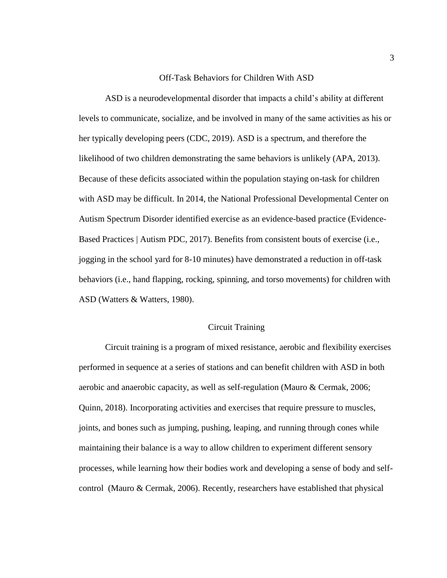#### Off-Task Behaviors for Children With ASD

ASD is a neurodevelopmental disorder that impacts a child's ability at different levels to communicate, socialize, and be involved in many of the same activities as his or her typically developing peers (CDC, 2019). ASD is a spectrum, and therefore the likelihood of two children demonstrating the same behaviors is unlikely (APA, 2013). Because of these deficits associated within the population staying on-task for children with ASD may be difficult. In 2014, the National Professional Developmental Center on Autism Spectrum Disorder identified exercise as an evidence-based practice (Evidence-Based Practices | Autism PDC, 2017). Benefits from consistent bouts of exercise (i.e., jogging in the school yard for 8-10 minutes) have demonstrated a reduction in off-task behaviors (i.e., hand flapping, rocking, spinning, and torso movements) for children with ASD (Watters & Watters, 1980).

#### Circuit Training

Circuit training is a program of mixed resistance, aerobic and flexibility exercises performed in sequence at a series of stations and can benefit children with ASD in both aerobic and anaerobic capacity, as well as self-regulation (Mauro & Cermak, 2006; Quinn, 2018). Incorporating activities and exercises that require pressure to muscles, joints, and bones such as jumping, pushing, leaping, and running through cones while maintaining their balance is a way to allow children to experiment different sensory processes, while learning how their bodies work and developing a sense of body and selfcontrol (Mauro & Cermak, 2006). Recently, researchers have established that physical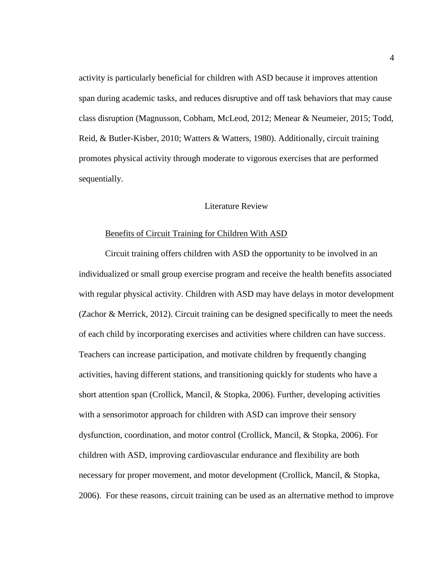activity is particularly beneficial for children with ASD because it improves attention span during academic tasks, and reduces disruptive and off task behaviors that may cause class disruption (Magnusson, Cobham, McLeod, 2012; Menear & Neumeier, 2015; Todd, Reid, & Butler-Kisber, 2010; Watters & Watters, 1980). Additionally, circuit training promotes physical activity through moderate to vigorous exercises that are performed sequentially.

#### Literature Review

#### Benefits of Circuit Training for Children With ASD

Circuit training offers children with ASD the opportunity to be involved in an individualized or small group exercise program and receive the health benefits associated with regular physical activity. Children with ASD may have delays in motor development (Zachor & Merrick, 2012). Circuit training can be designed specifically to meet the needs of each child by incorporating exercises and activities where children can have success. Teachers can increase participation, and motivate children by frequently changing activities, having different stations, and transitioning quickly for students who have a short attention span (Crollick, Mancil, & Stopka, 2006). Further, developing activities with a sensorimotor approach for children with ASD can improve their sensory dysfunction, coordination, and motor control (Crollick, Mancil, & Stopka, 2006). For children with ASD, improving cardiovascular endurance and flexibility are both necessary for proper movement, and motor development (Crollick, Mancil, & Stopka, 2006). For these reasons, circuit training can be used as an alternative method to improve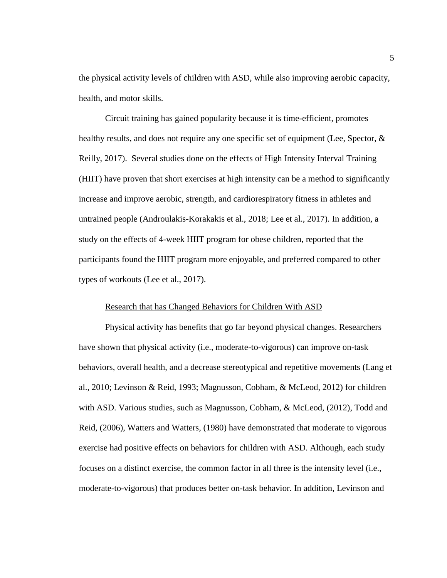the physical activity levels of children with ASD, while also improving aerobic capacity, health, and motor skills.

Circuit training has gained popularity because it is time-efficient, promotes healthy results, and does not require any one specific set of equipment (Lee, Spector, & Reilly, 2017). Several studies done on the effects of High Intensity Interval Training (HIIT) have proven that short exercises at high intensity can be a method to significantly increase and improve aerobic, strength, and cardiorespiratory fitness in athletes and untrained people (Androulakis-Korakakis et al., 2018; Lee et al., 2017). In addition, a study on the effects of 4-week HIIT program for obese children, reported that the participants found the HIIT program more enjoyable, and preferred compared to other types of workouts (Lee et al., 2017).

#### Research that has Changed Behaviors for Children With ASD

Physical activity has benefits that go far beyond physical changes. Researchers have shown that physical activity (i.e., moderate-to-vigorous) can improve on-task behaviors, overall health, and a decrease stereotypical and repetitive movements (Lang et al., 2010; Levinson & Reid, 1993; Magnusson, Cobham, & McLeod, 2012) for children with ASD. Various studies, such as Magnusson, Cobham, & McLeod, (2012), Todd and Reid, (2006), Watters and Watters, (1980) have demonstrated that moderate to vigorous exercise had positive effects on behaviors for children with ASD. Although, each study focuses on a distinct exercise, the common factor in all three is the intensity level (i.e., moderate-to-vigorous) that produces better on-task behavior. In addition, Levinson and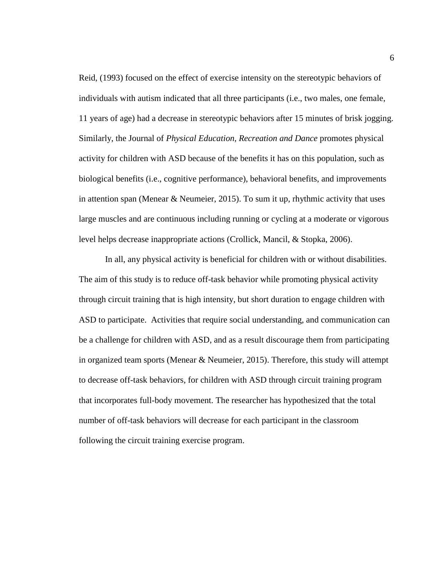Reid, (1993) focused on the effect of exercise intensity on the stereotypic behaviors of individuals with autism indicated that all three participants (i.e., two males, one female, 11 years of age) had a decrease in stereotypic behaviors after 15 minutes of brisk jogging. Similarly, the Journal of *Physical Education, Recreation and Dance* promotes physical activity for children with ASD because of the benefits it has on this population, such as biological benefits (i.e., cognitive performance), behavioral benefits, and improvements in attention span (Menear & Neumeier, 2015). To sum it up, rhythmic activity that uses large muscles and are continuous including running or cycling at a moderate or vigorous level helps decrease inappropriate actions (Crollick, Mancil, & Stopka, 2006).

In all, any physical activity is beneficial for children with or without disabilities. The aim of this study is to reduce off-task behavior while promoting physical activity through circuit training that is high intensity, but short duration to engage children with ASD to participate. Activities that require social understanding, and communication can be a challenge for children with ASD, and as a result discourage them from participating in organized team sports (Menear  $&$  Neumeier, 2015). Therefore, this study will attempt to decrease off-task behaviors, for children with ASD through circuit training program that incorporates full-body movement. The researcher has hypothesized that the total number of off-task behaviors will decrease for each participant in the classroom following the circuit training exercise program.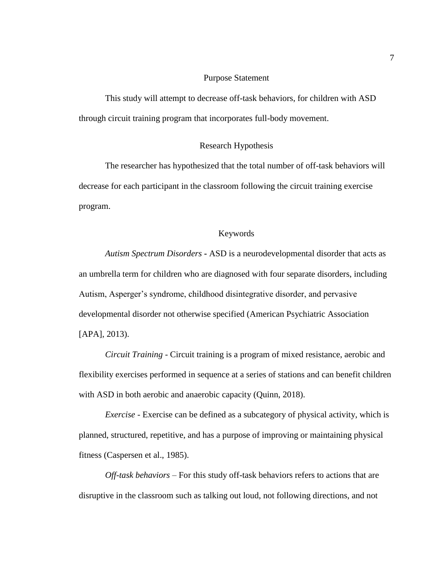#### Purpose Statement

This study will attempt to decrease off-task behaviors, for children with ASD through circuit training program that incorporates full-body movement.

#### Research Hypothesis

The researcher has hypothesized that the total number of off-task behaviors will decrease for each participant in the classroom following the circuit training exercise program.

#### Keywords

*Autism Spectrum Disorders* **-** ASD is a neurodevelopmental disorder that acts as an umbrella term for children who are diagnosed with four separate disorders, including Autism, Asperger's syndrome, childhood disintegrative disorder, and pervasive developmental disorder not otherwise specified (American Psychiatric Association [APA], 2013).

*Circuit Training* - Circuit training is a program of mixed resistance, aerobic and flexibility exercises performed in sequence at a series of stations and can benefit children with ASD in both aerobic and anaerobic capacity (Quinn, 2018).

*Exercise* - Exercise can be defined as a subcategory of physical activity, which is planned, structured, repetitive, and has a purpose of improving or maintaining physical fitness (Caspersen et al., 1985).

*Off-task behaviors* – For this study off-task behaviors refers to actions that are disruptive in the classroom such as talking out loud, not following directions, and not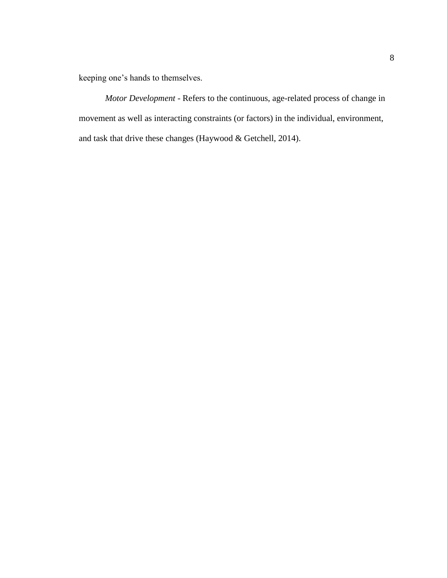keeping one's hands to themselves.

*Motor Development* - Refers to the continuous, age-related process of change in movement as well as interacting constraints (or factors) in the individual, environment, and task that drive these changes (Haywood & Getchell, 2014).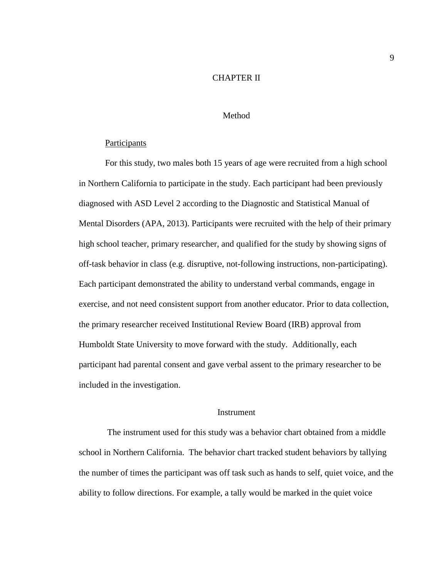#### CHAPTER II

#### Method

#### **Participants**

For this study, two males both 15 years of age were recruited from a high school in Northern California to participate in the study. Each participant had been previously diagnosed with ASD Level 2 according to the Diagnostic and Statistical Manual of Mental Disorders (APA, 2013). Participants were recruited with the help of their primary high school teacher, primary researcher, and qualified for the study by showing signs of off-task behavior in class (e.g. disruptive, not-following instructions, non-participating). Each participant demonstrated the ability to understand verbal commands, engage in exercise, and not need consistent support from another educator. Prior to data collection, the primary researcher received Institutional Review Board (IRB) approval from Humboldt State University to move forward with the study. Additionally, each participant had parental consent and gave verbal assent to the primary researcher to be included in the investigation.

#### **Instrument**

The instrument used for this study was a behavior chart obtained from a middle school in Northern California. The behavior chart tracked student behaviors by tallying the number of times the participant was off task such as hands to self, quiet voice, and the ability to follow directions. For example, a tally would be marked in the quiet voice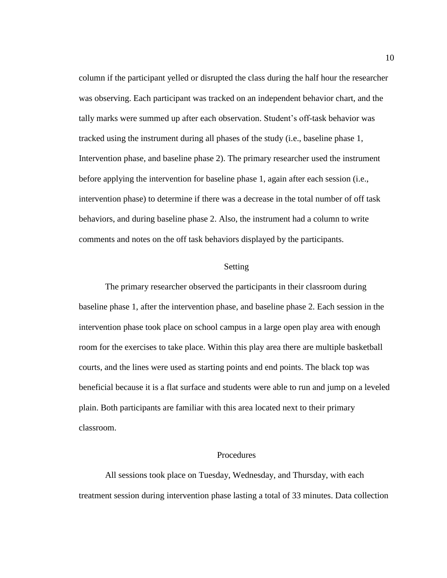column if the participant yelled or disrupted the class during the half hour the researcher was observing. Each participant was tracked on an independent behavior chart, and the tally marks were summed up after each observation. Student's off-task behavior was tracked using the instrument during all phases of the study (i.e., baseline phase 1, Intervention phase, and baseline phase 2). The primary researcher used the instrument before applying the intervention for baseline phase 1, again after each session (i.e., intervention phase) to determine if there was a decrease in the total number of off task behaviors, and during baseline phase 2. Also, the instrument had a column to write comments and notes on the off task behaviors displayed by the participants.

#### Setting

The primary researcher observed the participants in their classroom during baseline phase 1, after the intervention phase, and baseline phase 2. Each session in the intervention phase took place on school campus in a large open play area with enough room for the exercises to take place. Within this play area there are multiple basketball courts, and the lines were used as starting points and end points. The black top was beneficial because it is a flat surface and students were able to run and jump on a leveled plain. Both participants are familiar with this area located next to their primary classroom.

#### **Procedures**

All sessions took place on Tuesday, Wednesday, and Thursday, with each treatment session during intervention phase lasting a total of 33 minutes. Data collection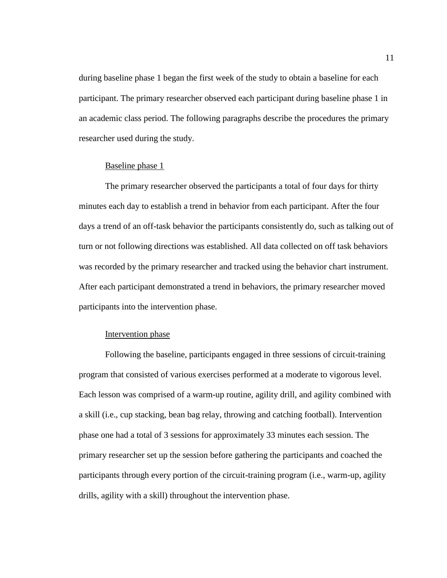during baseline phase 1 began the first week of the study to obtain a baseline for each participant. The primary researcher observed each participant during baseline phase 1 in an academic class period. The following paragraphs describe the procedures the primary researcher used during the study.

#### Baseline phase 1

The primary researcher observed the participants a total of four days for thirty minutes each day to establish a trend in behavior from each participant. After the four days a trend of an off-task behavior the participants consistently do, such as talking out of turn or not following directions was established. All data collected on off task behaviors was recorded by the primary researcher and tracked using the behavior chart instrument. After each participant demonstrated a trend in behaviors, the primary researcher moved participants into the intervention phase.

#### Intervention phase

Following the baseline, participants engaged in three sessions of circuit-training program that consisted of various exercises performed at a moderate to vigorous level. Each lesson was comprised of a warm-up routine, agility drill, and agility combined with a skill (i.e., cup stacking, bean bag relay, throwing and catching football). Intervention phase one had a total of 3 sessions for approximately 33 minutes each session. The primary researcher set up the session before gathering the participants and coached the participants through every portion of the circuit-training program (i.e., warm-up, agility drills, agility with a skill) throughout the intervention phase.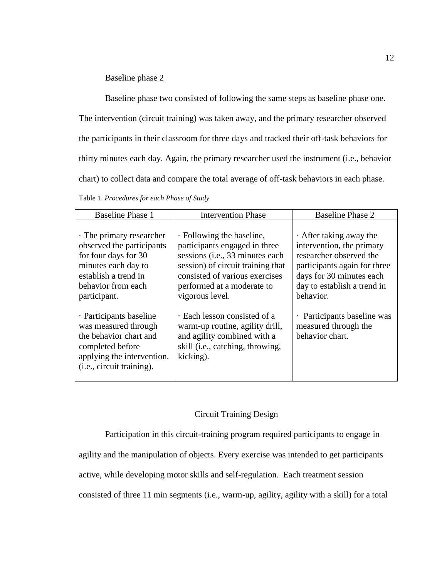#### Baseline phase 2

Baseline phase two consisted of following the same steps as baseline phase one.

The intervention (circuit training) was taken away, and the primary researcher observed the participants in their classroom for three days and tracked their off-task behaviors for thirty minutes each day. Again, the primary researcher used the instrument (i.e., behavior chart) to collect data and compare the total average of off-task behaviors in each phase.

Table 1. *Procedures for each Phase of Study*

| <b>Baseline Phase 1</b>                                                                                                                                                   | <b>Intervention Phase</b>                                                                                                                                                                                             | <b>Baseline Phase 2</b>                                                                                                                                                                       |
|---------------------------------------------------------------------------------------------------------------------------------------------------------------------------|-----------------------------------------------------------------------------------------------------------------------------------------------------------------------------------------------------------------------|-----------------------------------------------------------------------------------------------------------------------------------------------------------------------------------------------|
| . The primary researcher<br>observed the participants<br>for four days for 30<br>minutes each day to<br>establish a trend in<br>behavior from each<br>participant.        | · Following the baseline,<br>participants engaged in three<br>sessions (i.e., 33 minutes each<br>session) of circuit training that<br>consisted of various exercises<br>performed at a moderate to<br>vigorous level. | $\cdot$ After taking away the<br>intervention, the primary<br>researcher observed the<br>participants again for three<br>days for 30 minutes each<br>day to establish a trend in<br>behavior. |
| · Participants baseline<br>was measured through<br>the behavior chart and<br>completed before<br>applying the intervention.<br>( <i>i.e.</i> , <i>circuit training</i> ). | Each lesson consisted of a<br>warm-up routine, agility drill,<br>and agility combined with a<br>skill (i.e., catching, throwing,<br>kicking).                                                                         | Participants baseline was<br>$\bullet$<br>measured through the<br>behavior chart.                                                                                                             |

#### Circuit Training Design

Participation in this circuit-training program required participants to engage in

agility and the manipulation of objects. Every exercise was intended to get participants

active, while developing motor skills and self-regulation. Each treatment session

consisted of three 11 min segments (i.e., warm-up, agility, agility with a skill) for a total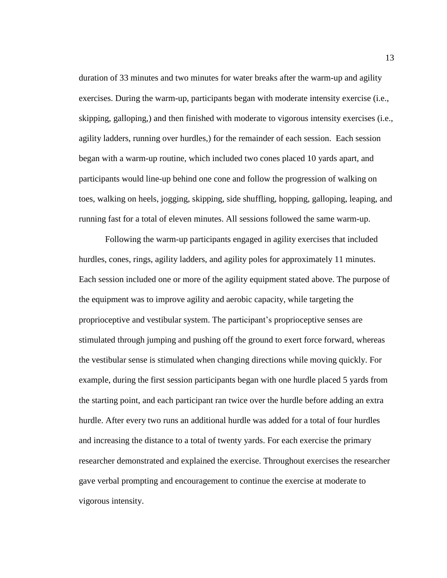duration of 33 minutes and two minutes for water breaks after the warm-up and agility exercises. During the warm-up, participants began with moderate intensity exercise (i.e., skipping, galloping,) and then finished with moderate to vigorous intensity exercises (i.e., agility ladders, running over hurdles,) for the remainder of each session. Each session began with a warm-up routine, which included two cones placed 10 yards apart, and participants would line-up behind one cone and follow the progression of walking on toes, walking on heels, jogging, skipping, side shuffling, hopping, galloping, leaping, and running fast for a total of eleven minutes. All sessions followed the same warm-up.

Following the warm-up participants engaged in agility exercises that included hurdles, cones, rings, agility ladders, and agility poles for approximately 11 minutes. Each session included one or more of the agility equipment stated above. The purpose of the equipment was to improve agility and aerobic capacity, while targeting the proprioceptive and vestibular system. The participant's proprioceptive senses are stimulated through jumping and pushing off the ground to exert force forward, whereas the vestibular sense is stimulated when changing directions while moving quickly. For example, during the first session participants began with one hurdle placed 5 yards from the starting point, and each participant ran twice over the hurdle before adding an extra hurdle. After every two runs an additional hurdle was added for a total of four hurdles and increasing the distance to a total of twenty yards. For each exercise the primary researcher demonstrated and explained the exercise. Throughout exercises the researcher gave verbal prompting and encouragement to continue the exercise at moderate to vigorous intensity.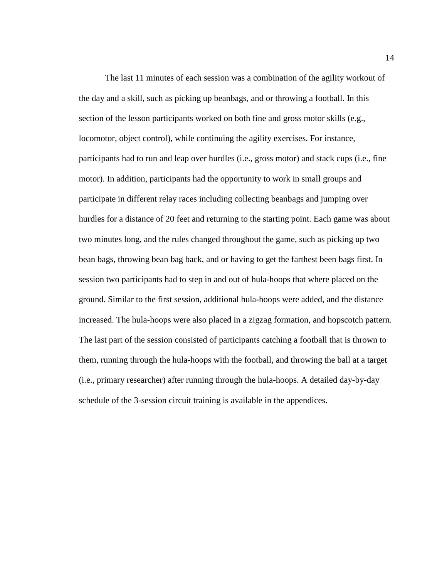The last 11 minutes of each session was a combination of the agility workout of the day and a skill, such as picking up beanbags, and or throwing a football. In this section of the lesson participants worked on both fine and gross motor skills (e.g., locomotor, object control), while continuing the agility exercises. For instance, participants had to run and leap over hurdles (i.e., gross motor) and stack cups (i.e., fine motor). In addition, participants had the opportunity to work in small groups and participate in different relay races including collecting beanbags and jumping over hurdles for a distance of 20 feet and returning to the starting point. Each game was about two minutes long, and the rules changed throughout the game, such as picking up two bean bags, throwing bean bag back, and or having to get the farthest been bags first. In session two participants had to step in and out of hula-hoops that where placed on the ground. Similar to the first session, additional hula-hoops were added, and the distance increased. The hula-hoops were also placed in a zigzag formation, and hopscotch pattern. The last part of the session consisted of participants catching a football that is thrown to them, running through the hula-hoops with the football, and throwing the ball at a target (i.e., primary researcher) after running through the hula-hoops. A detailed day-by-day schedule of the 3-session circuit training is available in the appendices.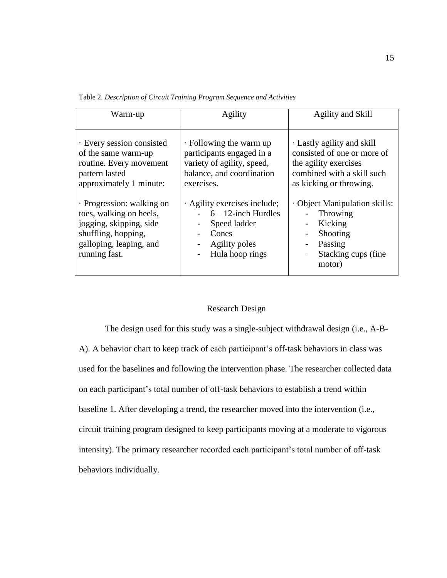Table 2. *Description of Circuit Training Program Sequence and Activities*

| Warm-up                                                                                                                                            | Agility                                                                                                                                         | Agility and Skill                                                                                                                                          |
|----------------------------------------------------------------------------------------------------------------------------------------------------|-------------------------------------------------------------------------------------------------------------------------------------------------|------------------------------------------------------------------------------------------------------------------------------------------------------------|
| · Every session consisted<br>of the same warm-up<br>routine. Every movement<br>pattern lasted<br>approximately 1 minute:                           | $\cdot$ Following the warm up<br>participants engaged in a<br>variety of agility, speed,<br>balance, and coordination<br>exercises.             | Lastly agility and skill<br>consisted of one or more of<br>the agility exercises<br>combined with a skill such<br>as kicking or throwing.                  |
| · Progression: walking on<br>toes, walking on heels,<br>jogging, skipping, side<br>shuffling, hopping,<br>galloping, leaping, and<br>running fast. | · Agility exercises include;<br>$6 - 12$ -inch Hurdles<br>Speed ladder<br>$\overline{\phantom{a}}$<br>Cones<br>Agility poles<br>Hula hoop rings | Object Manipulation skills:<br>Throwing<br>Kicking<br>$\overline{\phantom{0}}$<br>Shooting<br>$\overline{a}$<br>Passing<br>Stacking cups (fine.)<br>motor) |

#### Research Design

The design used for this study was a single-subject withdrawal design (i.e., A-B-A). A behavior chart to keep track of each participant's off-task behaviors in class was used for the baselines and following the intervention phase. The researcher collected data on each participant's total number of off-task behaviors to establish a trend within baseline 1. After developing a trend, the researcher moved into the intervention (i.e., circuit training program designed to keep participants moving at a moderate to vigorous intensity). The primary researcher recorded each participant's total number of off-task behaviors individually.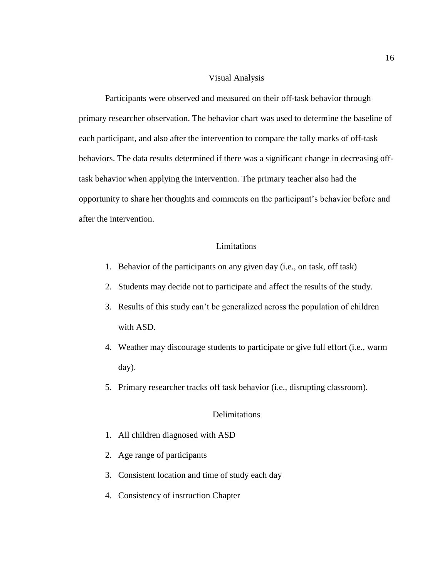#### Visual Analysis

Participants were observed and measured on their off-task behavior through primary researcher observation. The behavior chart was used to determine the baseline of each participant, and also after the intervention to compare the tally marks of off-task behaviors. The data results determined if there was a significant change in decreasing offtask behavior when applying the intervention. The primary teacher also had the opportunity to share her thoughts and comments on the participant's behavior before and after the intervention.

#### Limitations

- 1. Behavior of the participants on any given day (i.e., on task, off task)
- 2. Students may decide not to participate and affect the results of the study.
- 3. Results of this study can't be generalized across the population of children with ASD.
- 4. Weather may discourage students to participate or give full effort (i.e., warm day).
- 5. Primary researcher tracks off task behavior (i.e., disrupting classroom).

#### **Delimitations**

- 1. All children diagnosed with ASD
- 2. Age range of participants
- 3. Consistent location and time of study each day
- 4. Consistency of instruction Chapter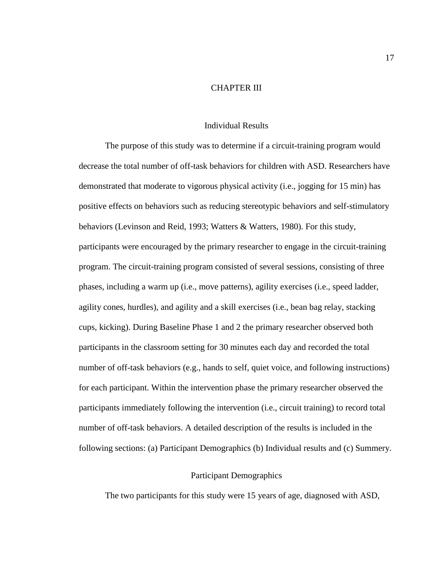#### CHAPTER III

#### Individual Results

The purpose of this study was to determine if a circuit-training program would decrease the total number of off-task behaviors for children with ASD. Researchers have demonstrated that moderate to vigorous physical activity (i.e., jogging for 15 min) has positive effects on behaviors such as reducing stereotypic behaviors and self-stimulatory behaviors (Levinson and Reid, 1993; Watters & Watters, 1980). For this study, participants were encouraged by the primary researcher to engage in the circuit-training program. The circuit-training program consisted of several sessions, consisting of three phases, including a warm up (i.e., move patterns), agility exercises (i.e., speed ladder, agility cones, hurdles), and agility and a skill exercises (i.e., bean bag relay, stacking cups, kicking). During Baseline Phase 1 and 2 the primary researcher observed both participants in the classroom setting for 30 minutes each day and recorded the total number of off-task behaviors (e.g., hands to self, quiet voice, and following instructions) for each participant. Within the intervention phase the primary researcher observed the participants immediately following the intervention (i.e., circuit training) to record total number of off-task behaviors. A detailed description of the results is included in the following sections: (a) Participant Demographics (b) Individual results and (c) Summery.

#### Participant Demographics

The two participants for this study were 15 years of age, diagnosed with ASD,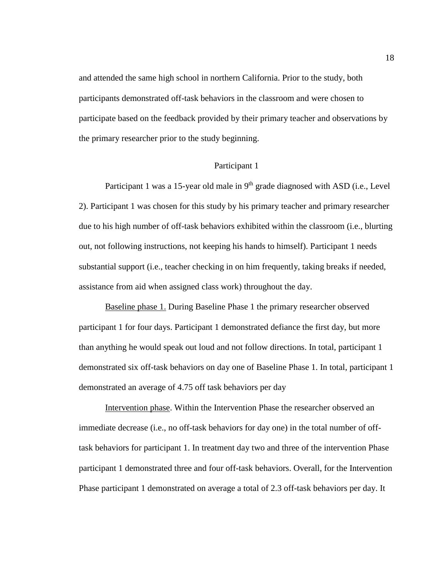and attended the same high school in northern California. Prior to the study, both participants demonstrated off-task behaviors in the classroom and were chosen to participate based on the feedback provided by their primary teacher and observations by the primary researcher prior to the study beginning.

#### Participant 1

Participant 1 was a 15-year old male in 9<sup>th</sup> grade diagnosed with ASD (i.e., Level 2). Participant 1 was chosen for this study by his primary teacher and primary researcher due to his high number of off-task behaviors exhibited within the classroom (i.e., blurting out, not following instructions, not keeping his hands to himself). Participant 1 needs substantial support (i.e., teacher checking in on him frequently, taking breaks if needed, assistance from aid when assigned class work) throughout the day.

Baseline phase 1. During Baseline Phase 1 the primary researcher observed participant 1 for four days. Participant 1 demonstrated defiance the first day, but more than anything he would speak out loud and not follow directions. In total, participant 1 demonstrated six off-task behaviors on day one of Baseline Phase 1. In total, participant 1 demonstrated an average of 4.75 off task behaviors per day

Intervention phase. Within the Intervention Phase the researcher observed an immediate decrease (i.e., no off-task behaviors for day one) in the total number of offtask behaviors for participant 1. In treatment day two and three of the intervention Phase participant 1 demonstrated three and four off-task behaviors. Overall, for the Intervention Phase participant 1 demonstrated on average a total of 2.3 off-task behaviors per day. It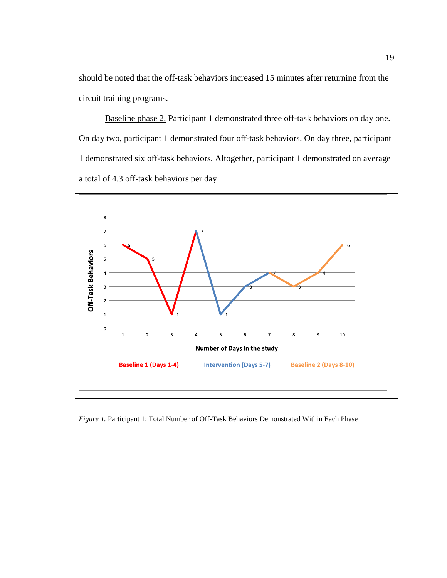should be noted that the off-task behaviors increased 15 minutes after returning from the circuit training programs.

Baseline phase 2. Participant 1 demonstrated three off-task behaviors on day one. On day two, participant 1 demonstrated four off-task behaviors. On day three, participant 1 demonstrated six off-task behaviors. Altogether, participant 1 demonstrated on average a total of 4.3 off-task behaviors per day



*Figure 1.* Participant 1: Total Number of Off-Task Behaviors Demonstrated Within Each Phase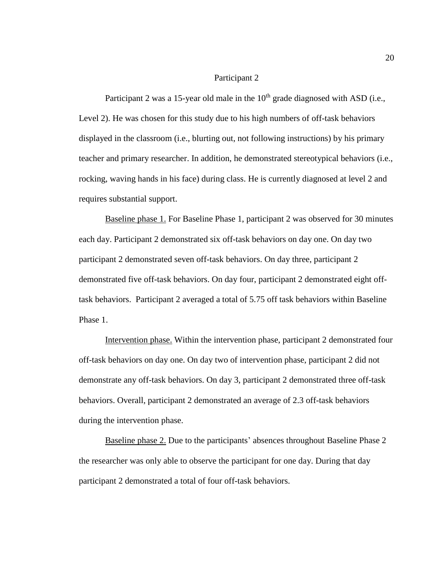#### Participant 2

Participant 2 was a 15-year old male in the  $10<sup>th</sup>$  grade diagnosed with ASD (i.e., Level 2). He was chosen for this study due to his high numbers of off-task behaviors displayed in the classroom (i.e., blurting out, not following instructions) by his primary teacher and primary researcher. In addition, he demonstrated stereotypical behaviors (i.e., rocking, waving hands in his face) during class. He is currently diagnosed at level 2 and requires substantial support.

Baseline phase 1. For Baseline Phase 1, participant 2 was observed for 30 minutes each day. Participant 2 demonstrated six off-task behaviors on day one. On day two participant 2 demonstrated seven off-task behaviors. On day three, participant 2 demonstrated five off-task behaviors. On day four, participant 2 demonstrated eight offtask behaviors. Participant 2 averaged a total of 5.75 off task behaviors within Baseline Phase 1.

Intervention phase. Within the intervention phase, participant 2 demonstrated four off-task behaviors on day one. On day two of intervention phase, participant 2 did not demonstrate any off-task behaviors. On day 3, participant 2 demonstrated three off-task behaviors. Overall, participant 2 demonstrated an average of 2.3 off-task behaviors during the intervention phase.

Baseline phase 2. Due to the participants' absences throughout Baseline Phase 2 the researcher was only able to observe the participant for one day. During that day participant 2 demonstrated a total of four off-task behaviors.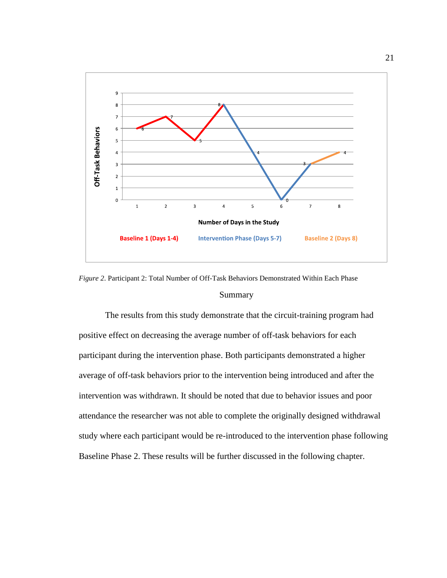

*Figure 2*. Participant 2: Total Number of Off-Task Behaviors Demonstrated Within Each Phase Summary

The results from this study demonstrate that the circuit-training program had positive effect on decreasing the average number of off-task behaviors for each participant during the intervention phase. Both participants demonstrated a higher average of off-task behaviors prior to the intervention being introduced and after the intervention was withdrawn. It should be noted that due to behavior issues and poor attendance the researcher was not able to complete the originally designed withdrawal study where each participant would be re-introduced to the intervention phase following Baseline Phase 2. These results will be further discussed in the following chapter.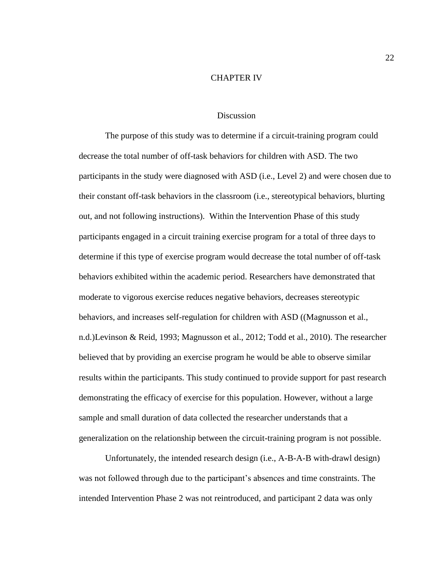#### CHAPTER IV

#### **Discussion**

The purpose of this study was to determine if a circuit-training program could decrease the total number of off-task behaviors for children with ASD. The two participants in the study were diagnosed with ASD (i.e., Level 2) and were chosen due to their constant off-task behaviors in the classroom (i.e., stereotypical behaviors, blurting out, and not following instructions). Within the Intervention Phase of this study participants engaged in a circuit training exercise program for a total of three days to determine if this type of exercise program would decrease the total number of off-task behaviors exhibited within the academic period. Researchers have demonstrated that moderate to vigorous exercise reduces negative behaviors, decreases stereotypic behaviors, and increases self-regulation for children with ASD ((Magnusson et al., n.d.)Levinson & Reid, 1993; Magnusson et al., 2012; Todd et al., 2010). The researcher believed that by providing an exercise program he would be able to observe similar results within the participants. This study continued to provide support for past research demonstrating the efficacy of exercise for this population. However, without a large sample and small duration of data collected the researcher understands that a generalization on the relationship between the circuit-training program is not possible.

Unfortunately, the intended research design (i.e., A-B-A-B with-drawl design) was not followed through due to the participant's absences and time constraints. The intended Intervention Phase 2 was not reintroduced, and participant 2 data was only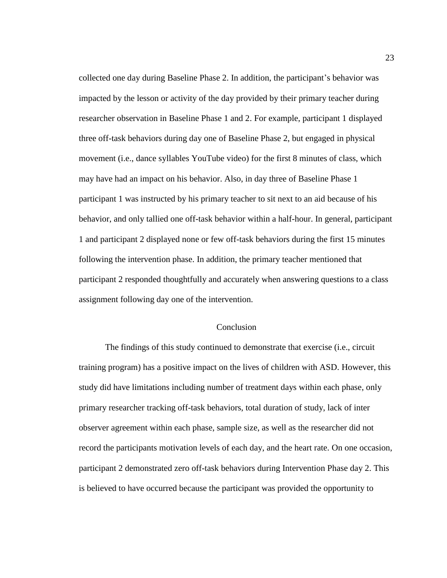collected one day during Baseline Phase 2. In addition, the participant's behavior was impacted by the lesson or activity of the day provided by their primary teacher during researcher observation in Baseline Phase 1 and 2. For example, participant 1 displayed three off-task behaviors during day one of Baseline Phase 2, but engaged in physical movement (i.e., dance syllables YouTube video) for the first 8 minutes of class, which may have had an impact on his behavior. Also, in day three of Baseline Phase 1 participant 1 was instructed by his primary teacher to sit next to an aid because of his behavior, and only tallied one off-task behavior within a half-hour. In general, participant 1 and participant 2 displayed none or few off-task behaviors during the first 15 minutes following the intervention phase. In addition, the primary teacher mentioned that participant 2 responded thoughtfully and accurately when answering questions to a class assignment following day one of the intervention.

#### Conclusion

The findings of this study continued to demonstrate that exercise (i.e., circuit training program) has a positive impact on the lives of children with ASD. However, this study did have limitations including number of treatment days within each phase, only primary researcher tracking off-task behaviors, total duration of study, lack of inter observer agreement within each phase, sample size, as well as the researcher did not record the participants motivation levels of each day, and the heart rate. On one occasion, participant 2 demonstrated zero off-task behaviors during Intervention Phase day 2. This is believed to have occurred because the participant was provided the opportunity to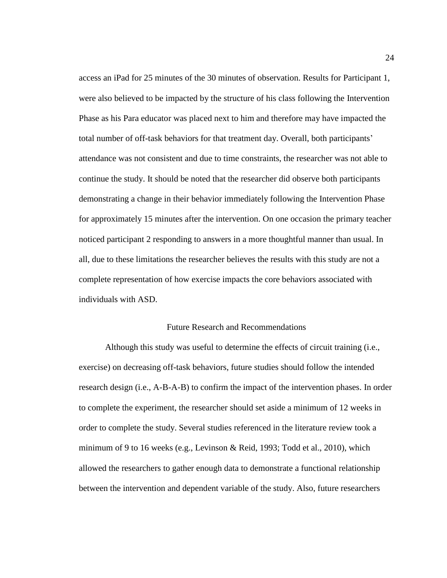access an iPad for 25 minutes of the 30 minutes of observation. Results for Participant 1, were also believed to be impacted by the structure of his class following the Intervention Phase as his Para educator was placed next to him and therefore may have impacted the total number of off-task behaviors for that treatment day. Overall, both participants' attendance was not consistent and due to time constraints, the researcher was not able to continue the study. It should be noted that the researcher did observe both participants demonstrating a change in their behavior immediately following the Intervention Phase for approximately 15 minutes after the intervention. On one occasion the primary teacher noticed participant 2 responding to answers in a more thoughtful manner than usual. In all, due to these limitations the researcher believes the results with this study are not a complete representation of how exercise impacts the core behaviors associated with individuals with ASD.

#### Future Research and Recommendations

Although this study was useful to determine the effects of circuit training (i.e., exercise) on decreasing off-task behaviors, future studies should follow the intended research design (i.e., A-B-A-B) to confirm the impact of the intervention phases. In order to complete the experiment, the researcher should set aside a minimum of 12 weeks in order to complete the study. Several studies referenced in the literature review took a minimum of 9 to 16 weeks (e.g., Levinson & Reid, 1993; Todd et al., 2010), which allowed the researchers to gather enough data to demonstrate a functional relationship between the intervention and dependent variable of the study. Also, future researchers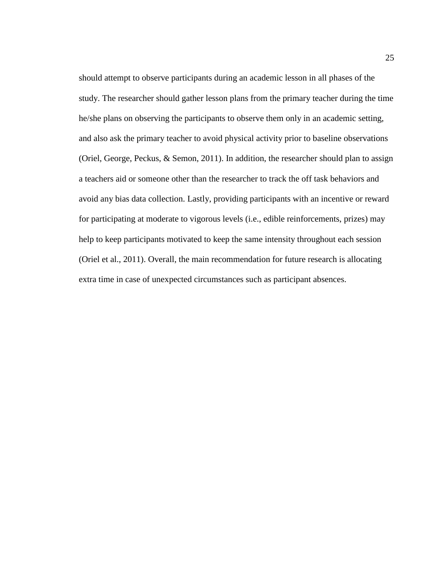should attempt to observe participants during an academic lesson in all phases of the study. The researcher should gather lesson plans from the primary teacher during the time he/she plans on observing the participants to observe them only in an academic setting, and also ask the primary teacher to avoid physical activity prior to baseline observations (Oriel, George, Peckus, & Semon, 2011). In addition, the researcher should plan to assign a teachers aid or someone other than the researcher to track the off task behaviors and avoid any bias data collection. Lastly, providing participants with an incentive or reward for participating at moderate to vigorous levels (i.e., edible reinforcements, prizes) may help to keep participants motivated to keep the same intensity throughout each session (Oriel et al., 2011). Overall, the main recommendation for future research is allocating extra time in case of unexpected circumstances such as participant absences.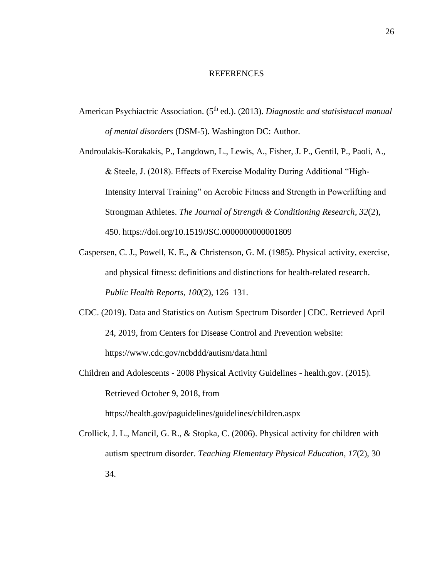#### REFERENCES

American Psychiactric Association. (5<sup>th</sup> ed.). (2013). *Diagnostic and statisistacal manual of mental disorders* (DSM-5). Washington DC: Author.

Androulakis-Korakakis, P., Langdown, L., Lewis, A., Fisher, J. P., Gentil, P., Paoli, A., & Steele, J. (2018). Effects of Exercise Modality During Additional "High-Intensity Interval Training" on Aerobic Fitness and Strength in Powerlifting and Strongman Athletes. *The Journal of Strength & Conditioning Research*, *32*(2), 450. https://doi.org/10.1519/JSC.0000000000001809

- Caspersen, C. J., Powell, K. E., & Christenson, G. M. (1985). Physical activity, exercise, and physical fitness: definitions and distinctions for health-related research. *Public Health Reports*, *100*(2), 126–131.
- CDC. (2019). Data and Statistics on Autism Spectrum Disorder | CDC. Retrieved April 24, 2019, from Centers for Disease Control and Prevention website: https://www.cdc.gov/ncbddd/autism/data.html
- Children and Adolescents 2008 Physical Activity Guidelines health.gov. (2015). Retrieved October 9, 2018, from

https://health.gov/paguidelines/guidelines/children.aspx

Crollick, J. L., Mancil, G. R., & Stopka, C. (2006). Physical activity for children with autism spectrum disorder. *Teaching Elementary Physical Education*, *17*(2), 30– 34.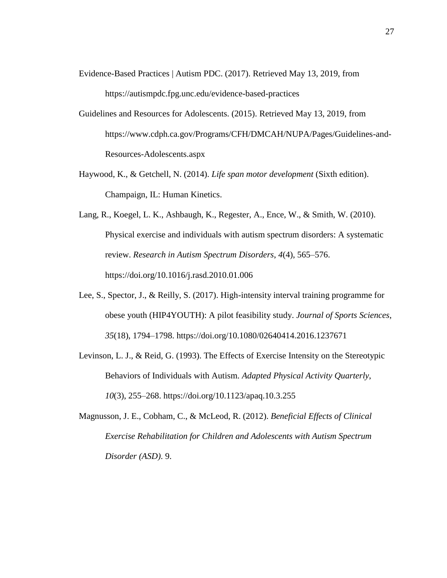- Evidence-Based Practices | Autism PDC. (2017). Retrieved May 13, 2019, from https://autismpdc.fpg.unc.edu/evidence-based-practices
- Guidelines and Resources for Adolescents. (2015). Retrieved May 13, 2019, from https://www.cdph.ca.gov/Programs/CFH/DMCAH/NUPA/Pages/Guidelines-and-Resources-Adolescents.aspx
- Haywood, K., & Getchell, N. (2014). *Life span motor development* (Sixth edition). Champaign, IL: Human Kinetics.
- Lang, R., Koegel, L. K., Ashbaugh, K., Regester, A., Ence, W., & Smith, W. (2010). Physical exercise and individuals with autism spectrum disorders: A systematic review. *Research in Autism Spectrum Disorders*, *4*(4), 565–576. https://doi.org/10.1016/j.rasd.2010.01.006
- Lee, S., Spector, J., & Reilly, S. (2017). High-intensity interval training programme for obese youth (HIP4YOUTH): A pilot feasibility study. *Journal of Sports Sciences*, *35*(18), 1794–1798. https://doi.org/10.1080/02640414.2016.1237671
- Levinson, L. J., & Reid, G. (1993). The Effects of Exercise Intensity on the Stereotypic Behaviors of Individuals with Autism. *Adapted Physical Activity Quarterly*, *10*(3), 255–268. https://doi.org/10.1123/apaq.10.3.255
- Magnusson, J. E., Cobham, C., & McLeod, R. (2012). *Beneficial Effects of Clinical Exercise Rehabilitation for Children and Adolescents with Autism Spectrum Disorder (ASD)*. 9.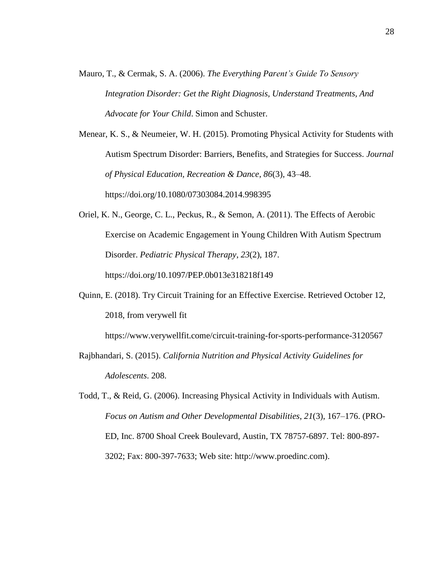Mauro, T., & Cermak, S. A. (2006). *The Everything Parent's Guide To Sensory Integration Disorder: Get the Right Diagnosis, Understand Treatments, And Advocate for Your Child*. Simon and Schuster.

Menear, K. S., & Neumeier, W. H. (2015). Promoting Physical Activity for Students with Autism Spectrum Disorder: Barriers, Benefits, and Strategies for Success. *Journal of Physical Education, Recreation & Dance*, *86*(3), 43–48. https://doi.org/10.1080/07303084.2014.998395

- Oriel, K. N., George, C. L., Peckus, R., & Semon, A. (2011). The Effects of Aerobic Exercise on Academic Engagement in Young Children With Autism Spectrum Disorder. *Pediatric Physical Therapy*, *23*(2), 187. https://doi.org/10.1097/PEP.0b013e318218f149
- Quinn, E. (2018). Try Circuit Training for an Effective Exercise. Retrieved October 12, 2018, from verywell fit

https://www.verywellfit.come/circuit-training-for-sports-performance-3120567

- Rajbhandari, S. (2015). *California Nutrition and Physical Activity Guidelines for Adolescents*. 208.
- Todd, T., & Reid, G. (2006). Increasing Physical Activity in Individuals with Autism. *Focus on Autism and Other Developmental Disabilities*, *21*(3), 167–176. (PRO-ED, Inc. 8700 Shoal Creek Boulevard, Austin, TX 78757-6897. Tel: 800-897- 3202; Fax: 800-397-7633; Web site: http://www.proedinc.com).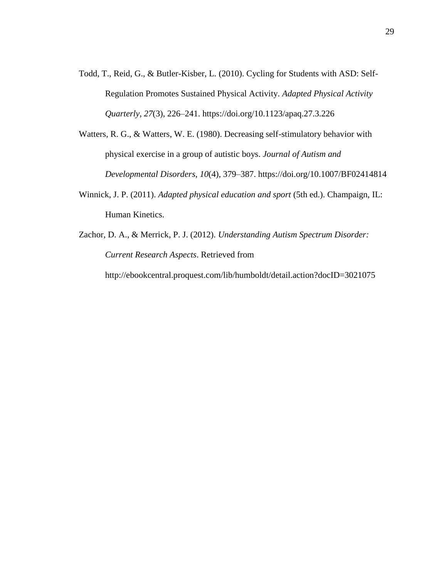- Todd, T., Reid, G., & Butler-Kisber, L. (2010). Cycling for Students with ASD: Self-Regulation Promotes Sustained Physical Activity. *Adapted Physical Activity Quarterly*, *27*(3), 226–241. https://doi.org/10.1123/apaq.27.3.226
- Watters, R. G., & Watters, W. E. (1980). Decreasing self-stimulatory behavior with physical exercise in a group of autistic boys. *Journal of Autism and Developmental Disorders*, *10*(4), 379–387. https://doi.org/10.1007/BF02414814
- Winnick, J. P. (2011). *Adapted physical education and sport* (5th ed.). Champaign, IL: Human Kinetics.
- Zachor, D. A., & Merrick, P. J. (2012). *Understanding Autism Spectrum Disorder: Current Research Aspects*. Retrieved from http://ebookcentral.proquest.com/lib/humboldt/detail.action?docID=3021075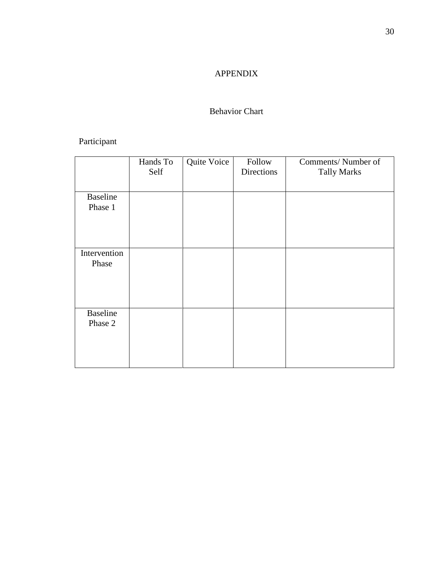### APPENDIX

### Behavior Chart

## Participant

|                            | Hands To<br>Self | Quite Voice | Follow<br>Directions | Comments/Number of<br><b>Tally Marks</b> |
|----------------------------|------------------|-------------|----------------------|------------------------------------------|
| <b>Baseline</b><br>Phase 1 |                  |             |                      |                                          |
| Intervention<br>Phase      |                  |             |                      |                                          |
| <b>Baseline</b><br>Phase 2 |                  |             |                      |                                          |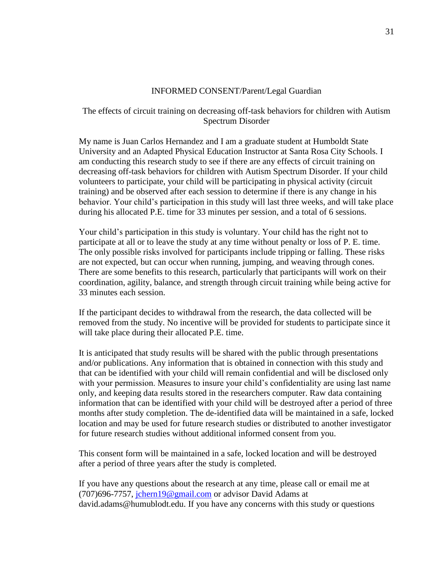#### INFORMED CONSENT/Parent/Legal Guardian

#### The effects of circuit training on decreasing off-task behaviors for children with Autism Spectrum Disorder

My name is Juan Carlos Hernandez and I am a graduate student at Humboldt State University and an Adapted Physical Education Instructor at Santa Rosa City Schools. I am conducting this research study to see if there are any effects of circuit training on decreasing off-task behaviors for children with Autism Spectrum Disorder. If your child volunteers to participate, your child will be participating in physical activity (circuit training) and be observed after each session to determine if there is any change in his behavior. Your child's participation in this study will last three weeks, and will take place during his allocated P.E. time for 33 minutes per session, and a total of 6 sessions.

Your child's participation in this study is voluntary. Your child has the right not to participate at all or to leave the study at any time without penalty or loss of P. E. time. The only possible risks involved for participants include tripping or falling. These risks are not expected, but can occur when running, jumping, and weaving through cones. There are some benefits to this research, particularly that participants will work on their coordination, agility, balance, and strength through circuit training while being active for 33 minutes each session.

If the participant decides to withdrawal from the research, the data collected will be removed from the study. No incentive will be provided for students to participate since it will take place during their allocated P.E. time.

It is anticipated that study results will be shared with the public through presentations and/or publications. Any information that is obtained in connection with this study and that can be identified with your child will remain confidential and will be disclosed only with your permission. Measures to insure your child's confidentiality are using last name only, and keeping data results stored in the researchers computer. Raw data containing information that can be identified with your child will be destroyed after a period of three months after study completion. The de-identified data will be maintained in a safe, locked location and may be used for future research studies or distributed to another investigator for future research studies without additional informed consent from you.

This consent form will be maintained in a safe, locked location and will be destroyed after a period of three years after the study is completed.

If you have any questions about the research at any time, please call or email me at (707)696-7757, [jchern19@gmail.com](mailto:jchern19@gmail.com) or advisor David Adams at david.adams@humublodt.edu. If you have any concerns with this study or questions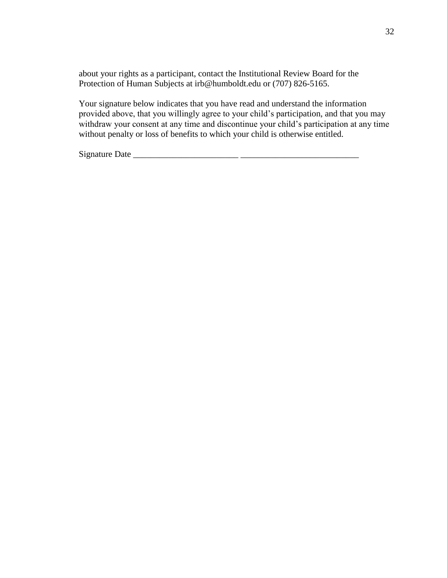about your rights as a participant, contact the Institutional Review Board for the Protection of Human Subjects at irb@humboldt.edu or (707) 826-5165.

Your signature below indicates that you have read and understand the information provided above, that you willingly agree to your child's participation, and that you may withdraw your consent at any time and discontinue your child's participation at any time without penalty or loss of benefits to which your child is otherwise entitled.

Signature Date \_\_\_\_\_\_\_\_\_\_\_\_\_\_\_\_\_\_\_\_\_\_\_\_ \_\_\_\_\_\_\_\_\_\_\_\_\_\_\_\_\_\_\_\_\_\_\_\_\_\_\_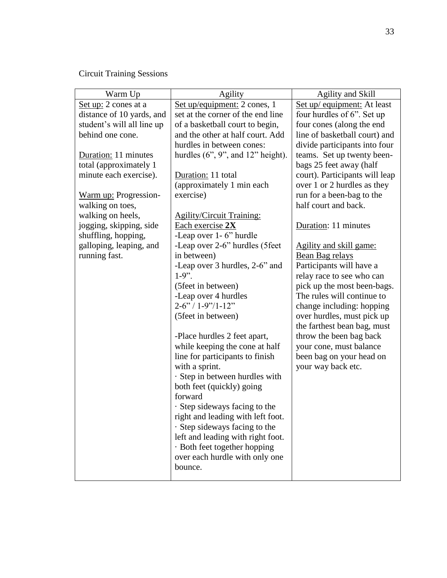Circuit Training Sessions

| Warm Up                    | Agility                               | Agility and Skill              |
|----------------------------|---------------------------------------|--------------------------------|
| Set up: 2 cones at a       | Set up/equipment: 2 cones, 1          | Set up/ equipment: At least    |
| distance of 10 yards, and  | set at the corner of the end line     | four hurdles of 6". Set up     |
| student's will all line up | of a basketball court to begin,       | four cones (along the end      |
| behind one cone.           | and the other at half court. Add      | line of basketball court) and  |
|                            | hurdles in between cones:             | divide participants into four  |
| Duration: 11 minutes       | hurdles $(6", 9",$ and $12"$ height). | teams. Set up twenty been-     |
| total (approximately 1     |                                       | bags 25 feet away (half        |
| minute each exercise).     | Duration: 11 total                    | court). Participants will leap |
|                            | (approximately 1 min each             | over 1 or 2 hurdles as they    |
| Warm up: Progression-      | exercise)                             | run for a been-bag to the      |
| walking on toes,           |                                       | half court and back.           |
| walking on heels,          | <b>Agility/Circuit Training:</b>      |                                |
| jogging, skipping, side    | Each exercise 2X                      | Duration: 11 minutes           |
| shuffling, hopping,        | -Leap over 1 - 6" hurdle              |                                |
| galloping, leaping, and    | -Leap over 2-6" hurdles (5feet        | Agility and skill game:        |
| running fast.              | in between)                           | Bean Bag relays                |
|                            | -Leap over 3 hurdles, 2-6" and        | Participants will have a       |
|                            | $1-9$ ".                              | relay race to see who can      |
|                            | (5 feet in between)                   | pick up the most been-bags.    |
|                            | -Leap over 4 hurdles                  | The rules will continue to     |
|                            | $2 - 6$ " / 1-9"/1-12"                | change including: hopping      |
|                            | (5 feet in between)                   | over hurdles, must pick up     |
|                            |                                       | the farthest bean bag, must    |
|                            | -Place hurdles 2 feet apart,          | throw the been bag back        |
|                            | while keeping the cone at half        | your cone, must balance        |
|                            | line for participants to finish       | been bag on your head on       |
|                            | with a sprint.                        | your way back etc.             |
|                            | · Step in between hurdles with        |                                |
|                            | both feet (quickly) going             |                                |
|                            | forward                               |                                |
|                            | · Step sideways facing to the         |                                |
|                            | right and leading with left foot.     |                                |
|                            | · Step sideways facing to the         |                                |
|                            | left and leading with right foot.     |                                |
|                            | · Both feet together hopping          |                                |
|                            | over each hurdle with only one        |                                |
|                            | bounce.                               |                                |
|                            |                                       |                                |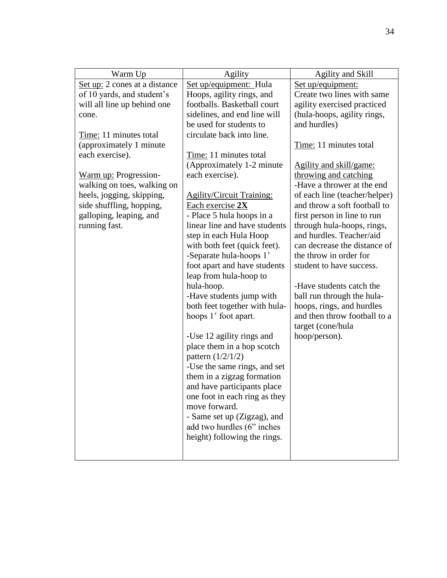| Warm Up                       | Agility                          | Agility and Skill              |
|-------------------------------|----------------------------------|--------------------------------|
| Set up: 2 cones at a distance | Set up/equipment: Hula           | Set up/equipment:              |
| of 10 yards, and student's    | Hoops, agility rings, and        | Create two lines with same     |
| will all line up behind one   | footballs. Basketball court      | agility exercised practiced    |
| cone.                         | sidelines, and end line will     | (hula-hoops, agility rings,    |
|                               | be used for students to          | and hurdles)                   |
| Time: 11 minutes total        | circulate back into line.        |                                |
| (approximately 1 minute       |                                  | Time: 11 minutes total         |
| each exercise).               | Time: 11 minutes total           |                                |
|                               | (Approximately 1-2 minute        | <u>Agility and skill/game:</u> |
| Warm up: Progression-         | each exercise).                  | throwing and catching          |
| walking on toes, walking on   |                                  | -Have a thrower at the end     |
| heels, jogging, skipping,     | <b>Agility/Circuit Training:</b> | of each line (teacher/helper)  |
| side shuffling, hopping,      | Each exercise 2X                 | and throw a soft football to   |
| galloping, leaping, and       | - Place 5 hula hoops in a        | first person in line to run    |
| running fast.                 | linear line and have students    | through hula-hoops, rings,     |
|                               | step in each Hula Hoop           | and hurdles. Teacher/aid       |
|                               | with both feet (quick feet).     | can decrease the distance of   |
|                               | -Separate hula-hoops 1'          | the throw in order for         |
|                               | foot apart and have students     | student to have success.       |
|                               | leap from hula-hoop to           |                                |
|                               | hula-hoop.                       | -Have students catch the       |
|                               | -Have students jump with         | ball run through the hula-     |
|                               | both feet together with hula-    | hoops, rings, and hurdles      |
|                               | hoops 1' foot apart.             | and then throw football to a   |
|                               |                                  | target (cone/hula              |
|                               | -Use 12 agility rings and        | hoop/person).                  |
|                               | place them in a hop scotch       |                                |
|                               | pattern $(1/2/1/2)$              |                                |
|                               | -Use the same rings, and set     |                                |
|                               | them in a zigzag formation       |                                |
|                               | and have participants place      |                                |
|                               | one foot in each ring as they    |                                |
|                               | move forward.                    |                                |
|                               | - Same set up (Zigzag), and      |                                |
|                               | add two hurdles (6" inches       |                                |
|                               | height) following the rings.     |                                |
|                               |                                  |                                |
|                               |                                  |                                |